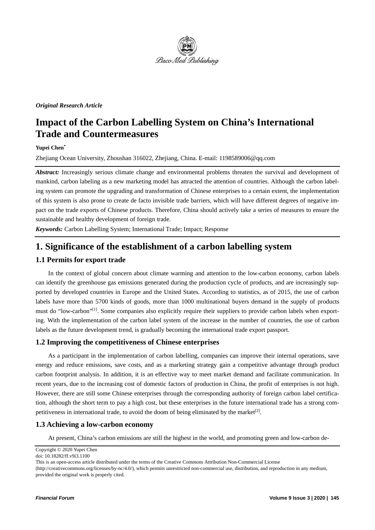

#### *Original Research Article*

# **Impact of the Carbon Labelling System on China's International Trade and Countermeasures**

### **Yupei Chen\***

Zhejiang Ocean University, Zhoushan 316022, Zhejiang, China. E-mail: 1198589006@qq.com

*Abstract:* Increasingly serious climate change and environmental problems threaten the survival and development of mankind, carbon labeling as a new marketing model has attracted the attention of countries. Although the carbon labeling system can promote the upgrading and transformation of Chinese enterprises to a certain extent, the implementation of this system is also prone to create de facto invisible trade barriers, which will have different degrees of negative impact on the trade exports of Chinese products. Therefore, China should actively take a series of measures to ensure the sustainable and healthy development of foreign trade.

*Keywords:* Carbon Labelling System; International Trade; Impact; Response

## **1. Significance of the establishment of a carbon labelling system**

#### **1.1 Permits for export trade**

In the context of global concern about climate warming and attention to the low-carbon economy, carbon labels can identify the greenhouse gas emissions generated during the production cycle of products, and are increasingly supported by developed countries in Europe and the United States. According to statistics, as of 2015, the use of carbon labels have more than 5700 kinds of goods, more than 1000 multinational buyers demand in the supply of products must do "low-carbon"<sup>[1]</sup>. Some companies also explicitly require their suppliers to provide carbon labels when exporting. With the implementation of the carbon label system of the increase in the number of countries, the use of carbon labels as the future development trend, is gradually becoming the international trade export passport.

#### **1.2 Improving the competitiveness of Chinese enterprises**

As a participant in the implementation of carbon labelling, companies can improve their internal operations, save energy and reduce emissions, save costs, and as a marketing strategy gain a competitive advantage through product carbon footprint analysis. In addition, it is an effective way to meet market demand and facilitate communication. In recent years, due to the increasing cost of domestic factors of production in China, the profit of enterprises is not high. However, there are still some Chinese enterprises through the corresponding authority of foreign carbon label certification, although the short term to pay a high cost, but these enterprises in the future international trade has a strong competitiveness in international trade, to avoid the doom of being eliminated by the market<sup>[2]</sup>.

#### **1.3 Achieving a low-carbon economy**

At present, China's carbon emissions are still the highest in the world, and promoting green and low-carbon de-

Copyright © 2020 Yupei Chen

doi: 10.18282/ff.v9i3.1100

This is an open-access article distributed under the terms of the Creative Commons Attribution Non-Commercial License

<sup>(</sup>http://creativecommons.org/licenses/by-nc/4.0/), which permits unrestricted non-commercial use, distribution, and reproduction in any medium, provided the original work is properly cited.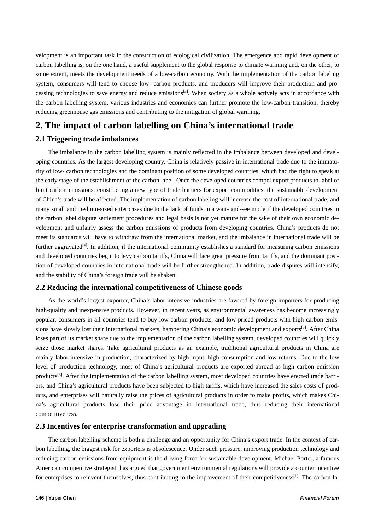velopment is an important task in the construction of ecological civilization. The emergence and rapid development of carbon labelling is, on the one hand, a useful supplement to the global response to climate warming and, on the other, to some extent, meets the development needs of a low-carbon economy. With the implementation of the carbon labeling system, consumers will tend to choose low- carbon products, and producers will improve their production and processing technologies to save energy and reduce emissions<sup>[3]</sup>. When society as a whole actively acts in accordance with the carbon labelling system, various industries and economies can further promote the low-carbon transition, thereby reducing greenhouse gas emissions and contributing to the mitigation of global warming.

## **2. The impact of carbon labelling on China's international trade**

#### **2.1 Triggering trade imbalances**

The imbalance in the carbon labelling system is mainly reflected in the imbalance between developed and developing countries. As the largest developing country, China is relatively passive in international trade due to the immaturity of low- carbon technologies and the dominant position of some developed countries, which had the right to speak at the early stage of the establishment of the carbon label. Once the developed countries compel export products to label or limit carbon emissions, constructing a new type of trade barriers for export commodities, the sustainable development of China's trade will be affected. The implementation of carbon labeling will increase the cost of international trade, and many small and medium-sized enterprises due to the lack of funds in a wait- and-see mode if the developed countries in the carbon label dispute settlement procedures and legal basis is not yet mature for the sake of their own economic development and unfairly assess the carbon emissions of products from developing countries. China's products do not meet its standards will have to withdraw from the international market, and the imbalance in international trade will be further aggravated<sup>[4]</sup>. In addition, if the international community establishes a standard for measuring carbon emissions and developed countries begin to levy carbon tariffs, China will face great pressure from tariffs, and the dominant position of developed countries in international trade will be further strengthened. In addition, trade disputes will intensify, and the stability of China's foreign trade will be shaken.

#### **2.2 Reducing the international competitiveness of Chinese goods**

As the world's largest exporter, China's labor-intensive industries are favored by foreign importers for producing high-quality and inexpensive products. However, in recent years, as environmental awareness has become increasingly popular, consumers in all countries tend to buy low-carbon products, and low-priced products with high carbon emissions have slowly lost their international markets, hampering China's economic development and exports<sup>[5]</sup>. After China loses part of its market share due to the implementation of the carbon labelling system, developed countries will quickly seize those market shares. Take agricultural products as an example, traditional agricultural products in China are mainly labor-intensive in production, characterized by high input, high consumption and low returns. Due to the low level of production technology, most of China's agricultural products are exported abroad as high carbon emission products<sup>[6]</sup>. After the implementation of the carbon labelling system, most developed countries have erected trade barriers, and China's agricultural products have been subjected to high tariffs, which have increased the sales costs of products, and enterprises will naturally raise the prices of agricultural products in order to make profits, which makes China's agricultural products lose their price advantage in international trade, thus reducing their international competitiveness.

#### **2.3 Incentives for enterprise transformation and upgrading**

The carbon labelling scheme is both a challenge and an opportunity for China's export trade. In the context of carbon labelling, the biggest risk for exporters is obsolescence. Under such pressure, improving production technology and reducing carbon emissions from equipment is the driving force for sustainable development. Michael Porter, a famous American competitive strategist, has argued that government environmental regulations will provide a counter incentive for enterprises to reinvent themselves, thus contributing to the improvement of their competitiveness<sup>[1]</sup>. The carbon la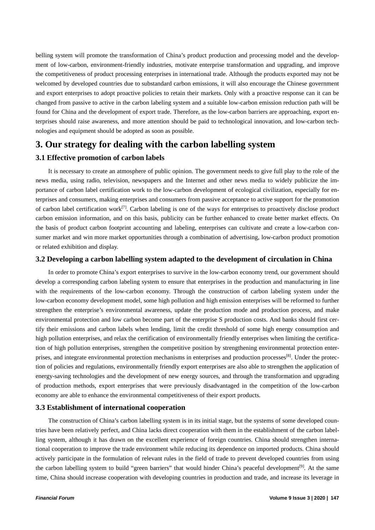belling system will promote the transformation of China's product production and processing model and the development of low-carbon, environment-friendly industries, motivate enterprise transformation and upgrading, and improve the competitiveness of product processing enterprises in international trade. Although the products exported may not be welcomed by developed countries due to substandard carbon emissions, it will also encourage the Chinese government and export enterprises to adopt proactive policies to retain their markets. Only with a proactive response can it can be changed from passive to active in the carbon labeling system and a suitable low-carbon emission reduction path will be found for China and the development of export trade. Therefore, as the low-carbon barriers are approaching, export enterprises should raise awareness, and more attention should be paid to technological innovation, and low-carbon technologies and equipment should be adopted as soon as possible.

### **3. Our strategy for dealing with the carbon labelling system**

#### **3.1 Effective promotion of carbon labels**

It is necessary to create an atmosphere of public opinion. The government needs to give full play to the role of the news media, using radio, television, newspapers and the Internet and other news media to widely publicize the importance of carbon label certification work to the low-carbon development of ecological civilization, especially for enterprises and consumers, making enterprises and consumers from passive acceptance to active support for the promotion of carbon label certification work<sup>[7]</sup>. Carbon labeling is one of the ways for enterprises to proactively disclose product carbon emission information, and on this basis, publicity can be further enhanced to create better market effects. On the basis of product carbon footprint accounting and labeling, enterprises can cultivate and create a low-carbon consumer market and win more market opportunities through a combination of advertising, low-carbon product promotion or related exhibition and display.

#### **3.2 Developing a carbon labelling system adapted to the development of circulation in China**

In order to promote China's export enterprises to survive in the low-carbon economy trend, our government should develop a corresponding carbon labeling system to ensure that enterprises in the production and manufacturing in line with the requirements of the low-carbon economy. Through the construction of carbon labeling system under the low-carbon economy development model, some high pollution and high emission enterprises will be reformed to further strengthen the enterprise's environmental awareness, update the production mode and production process, and make environmental protection and low carbon become part of the enterprise S production costs. And banks should first certify their emissions and carbon labels when lending, limit the credit threshold of some high energy consumption and high pollution enterprises, and relax the certification of environmentally friendly enterprises when limiting the certification of high pollution enterprises, strengthen the competitive position by strengthening environmental protection enterprises, and integrate environmental protection mechanisms in enterprises and production processes<sup>[8]</sup>. Under the protection of policies and regulations, environmentally friendly export enterprises are also able to strengthen the application of energy-saving technologies and the development of new energy sources, and through the transformation and upgrading of production methods, export enterprises that were previously disadvantaged in the competition of the low-carbon economy are able to enhance the environmental competitiveness of their export products.

#### **3.3 Establishment of international cooperation**

The construction of China's carbon labelling system is in its initial stage, but the systems of some developed countries have been relatively perfect, and China lacks direct cooperation with them in the establishment of the carbon labelling system, although it has drawn on the excellent experience of foreign countries. China should strengthen international cooperation to improve the trade environment while reducing its dependence on imported products. China should actively participate in the formulation of relevant rules in the field of trade to prevent developed countries from using the carbon labelling system to build "green barriers" that would hinder China's peaceful development<sup>[9]</sup>. At the same time, China should increase cooperation with developing countries in production and trade, and increase its leverage in